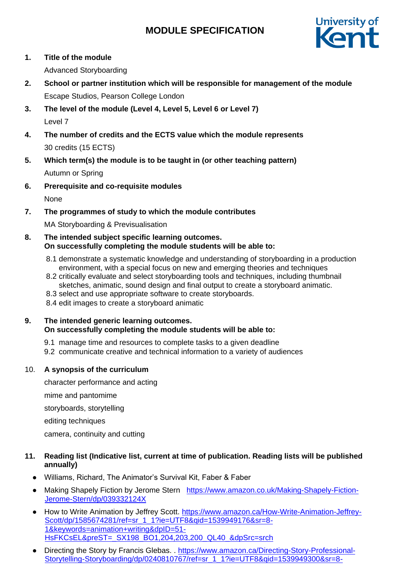# **MODULE SPECIFICATION**



**1. Title of the module**

Advanced Storyboarding

- **2. School or partner institution which will be responsible for management of the module** Escape Studios, Pearson College London
- **3. The level of the module (Level 4, Level 5, Level 6 or Level 7)** Level 7
- **4. The number of credits and the ECTS value which the module represents** 30 credits (15 ECTS)
- **5. Which term(s) the module is to be taught in (or other teaching pattern)** Autumn or Spring
- **6. Prerequisite and co-requisite modules**

None

**7. The programmes of study to which the module contributes**

MA Storyboarding & Previsualisation

- **8. The intended subject specific learning outcomes. On successfully completing the module students will be able to:**
	- 8.1 demonstrate a systematic knowledge and understanding of storyboarding in a production environment, with a special focus on new and emerging theories and techniques
	- 8.2 critically evaluate and select storyboarding tools and techniques, including thumbnail sketches, animatic, sound design and final output to create a storyboard animatic.
	- 8.3 select and use appropriate software to create storyboards.
	- 8.4 edit images to create a storyboard animatic

#### **9. The intended generic learning outcomes. On successfully completing the module students will be able to:**

- 9.1 manage time and resources to complete tasks to a given deadline
- 9.2 communicate creative and technical information to a variety of audiences

## 10. **A synopsis of the curriculum**

character performance and acting

mime and pantomime

storyboards, storytelling

editing techniques

camera, continuity and cutting

### **11. Reading list (Indicative list, current at time of publication. Reading lists will be published annually)**

- Williams, Richard, The Animator's Survival Kit, Faber & Faber
- Making Shapely Fiction by Jerome Stern [https://www.amazon.co.uk/Making-Shapely-Fiction-](https://www.amazon.co.uk/Making-Shapely-Fiction-Jerome-Stern/dp/039332124X)[Jerome-Stern/dp/039332124X](https://www.amazon.co.uk/Making-Shapely-Fiction-Jerome-Stern/dp/039332124X)
- How to Write Animation by Jeffrey Scott. [https://www.amazon.ca/How-Write-Animation-Jeffrey-](https://www.amazon.ca/How-Write-Animation-Jeffrey-Scott/dp/1585674281/ref=sr_1_1?ie=UTF8&qid=1539949176&sr=8-1&keywords=animation+writing&dpID=51-HsFKCsEL&preST=_SX198_BO1,204,203,200_QL40_&dpSrc=srch)[Scott/dp/1585674281/ref=sr\\_1\\_1?ie=UTF8&qid=1539949176&sr=8-](https://www.amazon.ca/How-Write-Animation-Jeffrey-Scott/dp/1585674281/ref=sr_1_1?ie=UTF8&qid=1539949176&sr=8-1&keywords=animation+writing&dpID=51-HsFKCsEL&preST=_SX198_BO1,204,203,200_QL40_&dpSrc=srch) [1&keywords=animation+writing&dpID=51-](https://www.amazon.ca/How-Write-Animation-Jeffrey-Scott/dp/1585674281/ref=sr_1_1?ie=UTF8&qid=1539949176&sr=8-1&keywords=animation+writing&dpID=51-HsFKCsEL&preST=_SX198_BO1,204,203,200_QL40_&dpSrc=srch) [HsFKCsEL&preST=\\_SX198\\_BO1,204,203,200\\_QL40\\_&dpSrc=srch](https://www.amazon.ca/How-Write-Animation-Jeffrey-Scott/dp/1585674281/ref=sr_1_1?ie=UTF8&qid=1539949176&sr=8-1&keywords=animation+writing&dpID=51-HsFKCsEL&preST=_SX198_BO1,204,203,200_QL40_&dpSrc=srch)
- Directing the Story by Francis Glebas. . [https://www.amazon.ca/Directing-Story-Professional-](https://www.amazon.ca/Directing-Story-Professional-Storytelling-Storyboarding/dp/0240810767/ref=sr_1_1?ie=UTF8&qid=1539949300&sr=8-1&keywords=directing+the+story&dpID=51DCTLI7mGL&preST=_SY264_BO1,204,203,200_QL40_&dpSrc=srch)[Storytelling-Storyboarding/dp/0240810767/ref=sr\\_1\\_1?ie=UTF8&qid=1539949300&sr=8-](https://www.amazon.ca/Directing-Story-Professional-Storytelling-Storyboarding/dp/0240810767/ref=sr_1_1?ie=UTF8&qid=1539949300&sr=8-1&keywords=directing+the+story&dpID=51DCTLI7mGL&preST=_SY264_BO1,204,203,200_QL40_&dpSrc=srch)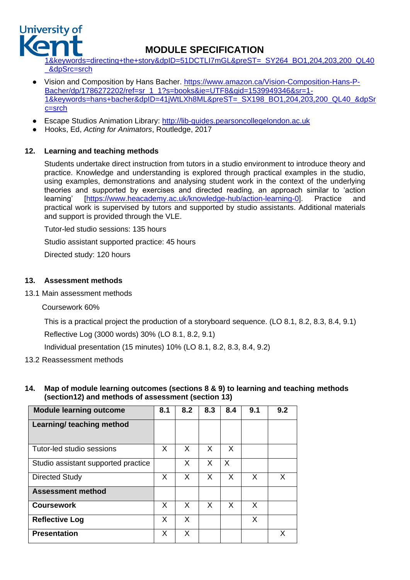

# **MODULE SPECIFICATION**

[1&keywords=directing+the+story&dpID=51DCTLI7mGL&preST=\\_SY264\\_BO1,204,203,200\\_QL40](https://www.amazon.ca/Directing-Story-Professional-Storytelling-Storyboarding/dp/0240810767/ref=sr_1_1?ie=UTF8&qid=1539949300&sr=8-1&keywords=directing+the+story&dpID=51DCTLI7mGL&preST=_SY264_BO1,204,203,200_QL40_&dpSrc=srch) [\\_&dpSrc=srch](https://www.amazon.ca/Directing-Story-Professional-Storytelling-Storyboarding/dp/0240810767/ref=sr_1_1?ie=UTF8&qid=1539949300&sr=8-1&keywords=directing+the+story&dpID=51DCTLI7mGL&preST=_SY264_BO1,204,203,200_QL40_&dpSrc=srch)

- Vision and Composition by Hans Bacher. [https://www.amazon.ca/Vision-Composition-Hans-P-](https://www.amazon.ca/Vision-Composition-Hans-P-Bacher/dp/1786272202/ref=sr_1_1?s=books&ie=UTF8&qid=1539949346&sr=1-1&keywords=hans+bacher&dpID=41jWtLXh8ML&preST=_SX198_BO1,204,203,200_QL40_&dpSrc=srch)[Bacher/dp/1786272202/ref=sr\\_1\\_1?s=books&ie=UTF8&qid=1539949346&sr=1-](https://www.amazon.ca/Vision-Composition-Hans-P-Bacher/dp/1786272202/ref=sr_1_1?s=books&ie=UTF8&qid=1539949346&sr=1-1&keywords=hans+bacher&dpID=41jWtLXh8ML&preST=_SX198_BO1,204,203,200_QL40_&dpSrc=srch) [1&keywords=hans+bacher&dpID=41jWtLXh8ML&preST=\\_SX198\\_BO1,204,203,200\\_QL40\\_&dpSr](https://www.amazon.ca/Vision-Composition-Hans-P-Bacher/dp/1786272202/ref=sr_1_1?s=books&ie=UTF8&qid=1539949346&sr=1-1&keywords=hans+bacher&dpID=41jWtLXh8ML&preST=_SX198_BO1,204,203,200_QL40_&dpSrc=srch) [c=srch](https://www.amazon.ca/Vision-Composition-Hans-P-Bacher/dp/1786272202/ref=sr_1_1?s=books&ie=UTF8&qid=1539949346&sr=1-1&keywords=hans+bacher&dpID=41jWtLXh8ML&preST=_SX198_BO1,204,203,200_QL40_&dpSrc=srch)
- Escape Studios Animation Library: [http://lib-guides.pearsoncollegelondon.ac.uk](http://lib-guides.pearsoncollegelondon.ac.uk/)
- Hooks, Ed, *Acting for Animators*, Routledge, 2017

### **12. Learning and teaching methods**

Students undertake direct instruction from tutors in a studio environment to introduce theory and practice. Knowledge and understanding is explored through practical examples in the studio, using examples, demonstrations and analysing student work in the context of the underlying theories and supported by exercises and directed reading, an approach similar to 'action learning' [\[https://www.heacademy.ac.uk/knowledge-hub/action-learning-0\]](https://www.heacademy.ac.uk/knowledge-hub/action-learning-0). Practice and practical work is supervised by tutors and supported by studio assistants. Additional materials and support is provided through the VLE.

Tutor-led studio sessions: 135 hours

Studio assistant supported practice: 45 hours

Directed study: 120 hours

#### **13. Assessment methods**

13.1 Main assessment methods

Coursework 60%

This is a practical project the production of a storyboard sequence. (LO 8.1, 8.2, 8.3, 8.4, 9.1) Reflective Log (3000 words) 30% (LO 8.1, 8.2, 9.1)

Individual presentation (15 minutes) 10% (LO 8.1, 8.2, 8.3, 8.4, 9.2)

- 13.2 Reassessment methods
- **14. Map of module learning outcomes (sections 8 & 9) to learning and teaching methods (section12) and methods of assessment (section 13)**

| <b>Module learning outcome</b>      | 8.1 | 8.2 | 8.3 | 8.4 | 9.1 | 9.2 |
|-------------------------------------|-----|-----|-----|-----|-----|-----|
| Learning/ teaching method           |     |     |     |     |     |     |
| Tutor-led studio sessions           | X   | X   | X   | X   |     |     |
| Studio assistant supported practice |     | X   | X   | X   |     |     |
| <b>Directed Study</b>               | X   | X   | X   | X   | X   | X   |
| <b>Assessment method</b>            |     |     |     |     |     |     |
| <b>Coursework</b>                   | X   | X   | X   | X   | X   |     |
| <b>Reflective Log</b>               | X   | X   |     |     | X   |     |
| <b>Presentation</b>                 | X   | X   |     |     |     | X   |